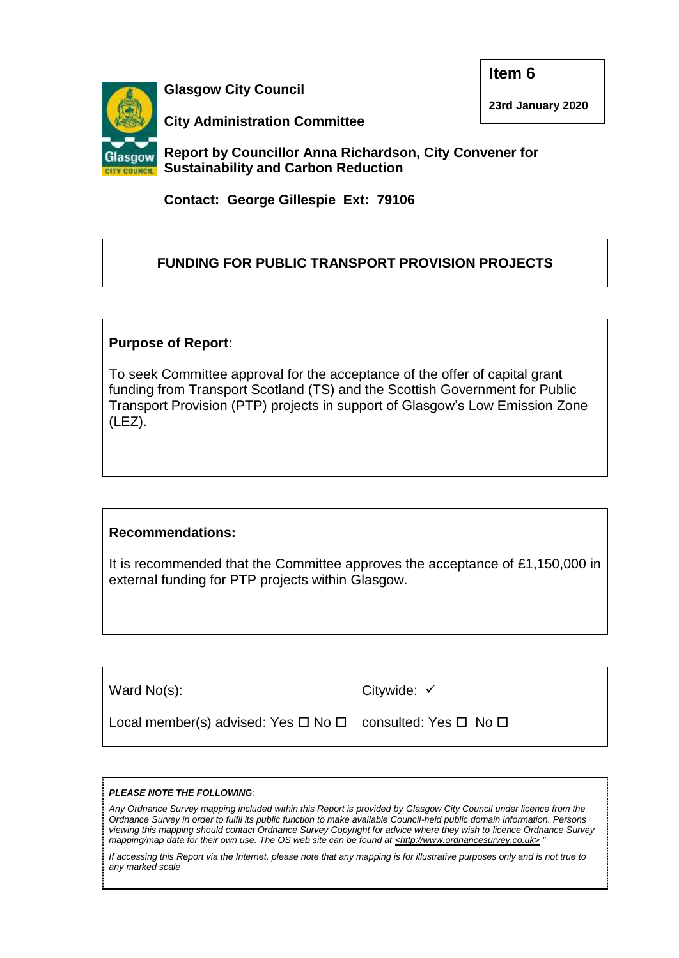

**Glasgow City Council**

**Item 6**

**23rd January 2020**

**City Administration Committee** 

**Report by Councillor Anna Richardson, City Convener for Sustainability and Carbon Reduction**

**Contact: George Gillespie Ext: 79106**

# **FUNDING FOR PUBLIC TRANSPORT PROVISION PROJECTS**

### **Purpose of Report:**

To seek Committee approval for the acceptance of the offer of capital grant funding from Transport Scotland (TS) and the Scottish Government for Public Transport Provision (PTP) projects in support of Glasgow's Low Emission Zone (LEZ).

## **Recommendations:**

It is recommended that the Committee approves the acceptance of £1,150,000 in external funding for PTP projects within Glasgow.

| $ $ Ward No(s):                                           | Citywide: $\checkmark$ |
|-----------------------------------------------------------|------------------------|
| Local member(s) advised: Yes □ No □ consulted: Yes □ No □ |                        |

#### *PLEASE NOTE THE FOLLOWING:*

*Any Ordnance Survey mapping included within this Report is provided by Glasgow City Council under licence from the Ordnance Survey in order to fulfil its public function to make available Council-held public domain information. Persons viewing this mapping should contact Ordnance Survey Copyright for advice where they wish to licence Ordnance Survey mapping/map data for their own use. The OS web site can be found at <http://www.ordnancesurvey.co.uk> "*

*If accessing this Report via the Internet, please note that any mapping is for illustrative purposes only and is not true to any marked scale*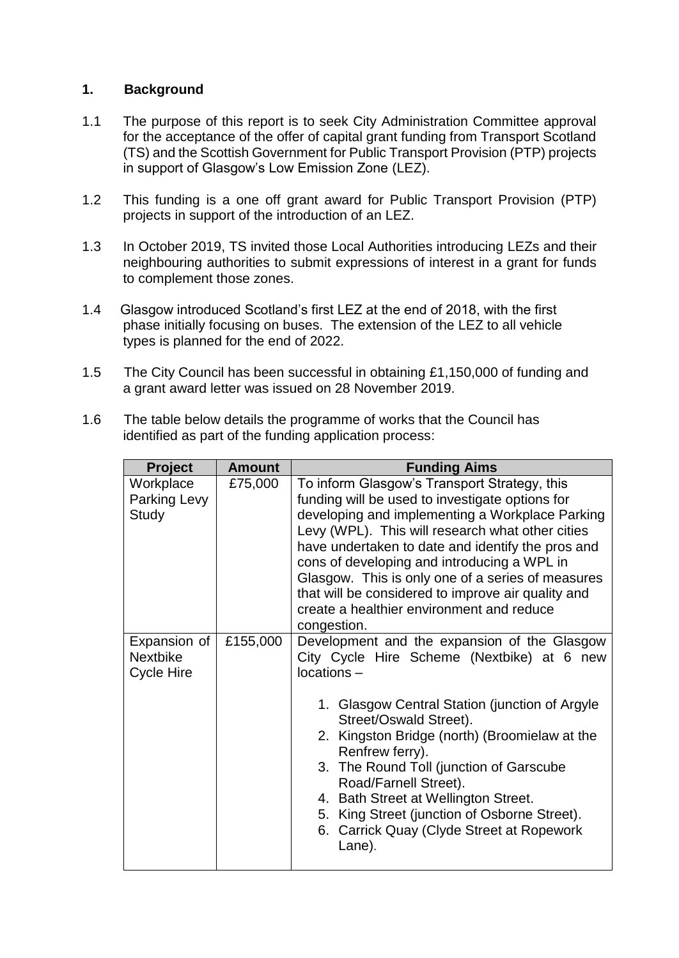#### **1. Background**

- 1.1 The purpose of this report is to seek City Administration Committee approval for the acceptance of the offer of capital grant funding from Transport Scotland (TS) and the Scottish Government for Public Transport Provision (PTP) projects in support of Glasgow's Low Emission Zone (LEZ).
- 1.2 This funding is a one off grant award for Public Transport Provision (PTP) projects in support of the introduction of an LEZ.
- 1.3 In October 2019, TS invited those Local Authorities introducing LEZs and their neighbouring authorities to submit expressions of interest in a grant for funds to complement those zones.
- 1.4 Glasgow introduced Scotland's first LEZ at the end of 2018, with the first phase initially focusing on buses. The extension of the LEZ to all vehicle types is planned for the end of 2022.
- 1.5 The City Council has been successful in obtaining £1,150,000 of funding and a grant award letter was issued on 28 November 2019.
- 1.6 The table below details the programme of works that the Council has identified as part of the funding application process:

| <b>Project</b>                                | <b>Amount</b> | <b>Funding Aims</b>                                                                                                                                                                                                                                                                                                                                                                                                                                                               |
|-----------------------------------------------|---------------|-----------------------------------------------------------------------------------------------------------------------------------------------------------------------------------------------------------------------------------------------------------------------------------------------------------------------------------------------------------------------------------------------------------------------------------------------------------------------------------|
| Workplace<br>Parking Levy<br>Study            | £75,000       | To inform Glasgow's Transport Strategy, this<br>funding will be used to investigate options for<br>developing and implementing a Workplace Parking<br>Levy (WPL). This will research what other cities<br>have undertaken to date and identify the pros and<br>cons of developing and introducing a WPL in<br>Glasgow. This is only one of a series of measures<br>that will be considered to improve air quality and<br>create a healthier environment and reduce<br>congestion. |
| Expansion of<br><b>Nextbike</b><br>Cycle Hire | £155,000      | Development and the expansion of the Glasgow<br>City Cycle Hire Scheme (Nextbike) at 6 new<br>locations -<br>1. Glasgow Central Station (junction of Argyle<br>Street/Oswald Street).<br>2. Kingston Bridge (north) (Broomielaw at the<br>Renfrew ferry).<br>3. The Round Toll (junction of Garscube<br>Road/Farnell Street).<br>4. Bath Street at Wellington Street.<br>5. King Street (junction of Osborne Street).<br>6. Carrick Quay (Clyde Street at Ropework<br>Lane).      |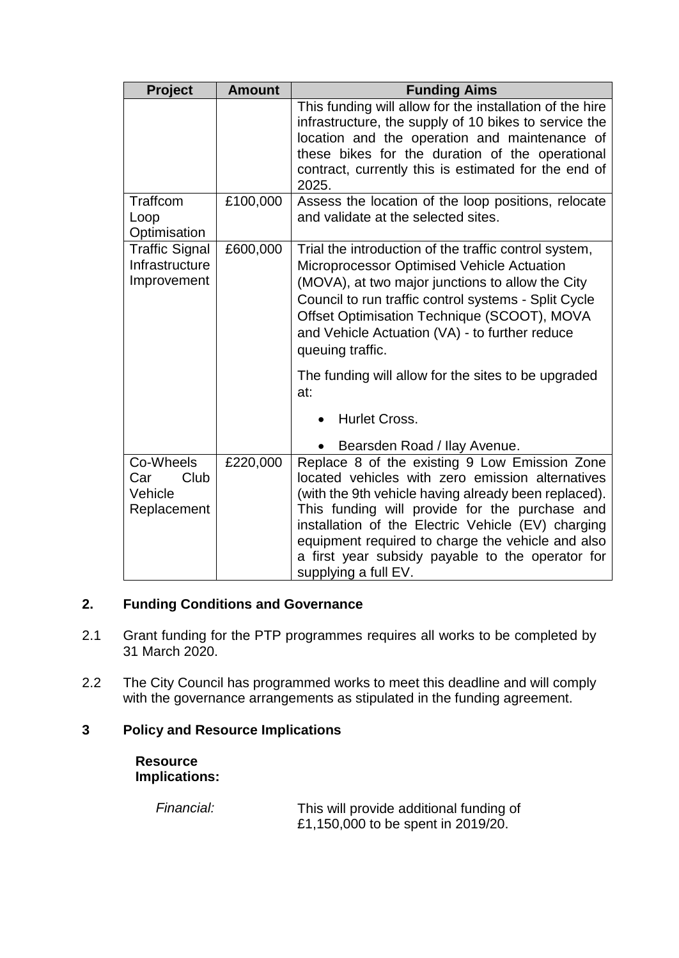| <b>Project</b>                                         | <b>Amount</b> | <b>Funding Aims</b>                                                                                                                                                                                                                                                                                                                                                                                |
|--------------------------------------------------------|---------------|----------------------------------------------------------------------------------------------------------------------------------------------------------------------------------------------------------------------------------------------------------------------------------------------------------------------------------------------------------------------------------------------------|
|                                                        |               | This funding will allow for the installation of the hire<br>infrastructure, the supply of 10 bikes to service the<br>location and the operation and maintenance of<br>these bikes for the duration of the operational<br>contract, currently this is estimated for the end of                                                                                                                      |
| Traffcom                                               | £100,000      | 2025.<br>Assess the location of the loop positions, relocate                                                                                                                                                                                                                                                                                                                                       |
| Loop<br>Optimisation                                   |               | and validate at the selected sites.                                                                                                                                                                                                                                                                                                                                                                |
| <b>Traffic Signal</b><br>Infrastructure<br>Improvement | £600,000      | Trial the introduction of the traffic control system,<br>Microprocessor Optimised Vehicle Actuation<br>(MOVA), at two major junctions to allow the City<br>Council to run traffic control systems - Split Cycle<br>Offset Optimisation Technique (SCOOT), MOVA<br>and Vehicle Actuation (VA) - to further reduce<br>queuing traffic.                                                               |
|                                                        |               | The funding will allow for the sites to be upgraded<br>at:                                                                                                                                                                                                                                                                                                                                         |
|                                                        |               | <b>Hurlet Cross.</b><br>$\bullet$                                                                                                                                                                                                                                                                                                                                                                  |
|                                                        |               | Bearsden Road / Ilay Avenue.                                                                                                                                                                                                                                                                                                                                                                       |
| Co-Wheels<br>Club<br>Car<br>Vehicle<br>Replacement     | £220,000      | Replace 8 of the existing 9 Low Emission Zone<br>located vehicles with zero emission alternatives<br>(with the 9th vehicle having already been replaced).<br>This funding will provide for the purchase and<br>installation of the Electric Vehicle (EV) charging<br>equipment required to charge the vehicle and also<br>a first year subsidy payable to the operator for<br>supplying a full EV. |

### **2. Funding Conditions and Governance**

- 2.1 Grant funding for the PTP programmes requires all works to be completed by 31 March 2020.
- 2.2 The City Council has programmed works to meet this deadline and will comply with the governance arrangements as stipulated in the funding agreement.

# **3 Policy and Resource Implications**

**Resource Implications:**

| Financial: | This will provide additional funding of |
|------------|-----------------------------------------|
|            | £1,150,000 to be spent in 2019/20.      |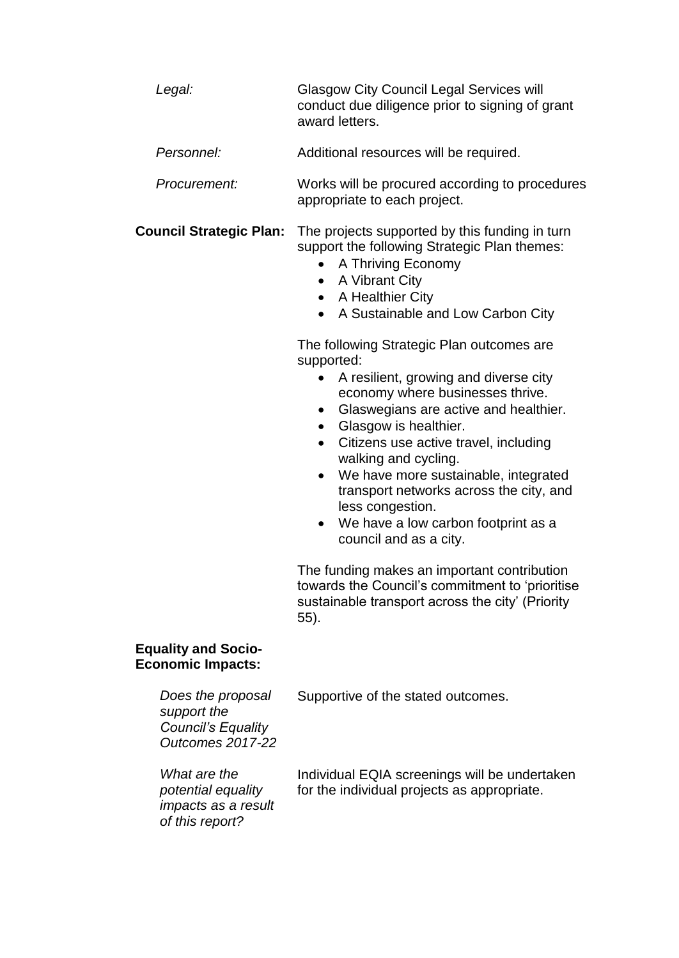| Legal:     | <b>Glasgow City Council Legal Services will</b><br>conduct due diligence prior to signing of grant<br>award letters. |
|------------|----------------------------------------------------------------------------------------------------------------------|
| Personnel: | Additional resources will be required.                                                                               |

*Procurement:* Works will be procured according to procedures appropriate to each project.

**Council Strategic Plan:** The projects supported by this funding in turn support the following Strategic Plan themes:

- A Thriving Economy
- A Vibrant City
- A Healthier City
- A Sustainable and Low Carbon City

The following Strategic Plan outcomes are supported:

- A resilient, growing and diverse city economy where businesses thrive.
- Glaswegians are active and healthier.
- Glasgow is healthier.
- Citizens use active travel, including walking and cycling.
- We have more sustainable, integrated transport networks across the city, and less congestion.
- We have a low carbon footprint as a council and as a city.

The funding makes an important contribution towards the Council's commitment to 'prioritise sustainable transport across the city' (Priority 55).

#### **Equality and Socio-Economic Impacts:**

*Does the proposal* 

Supportive of the stated outcomes.

*support the Council's Equality Outcomes 2017-22 What are the potential equality impacts as a result of this report?* Individual EQIA screenings will be undertaken for the individual projects as appropriate.